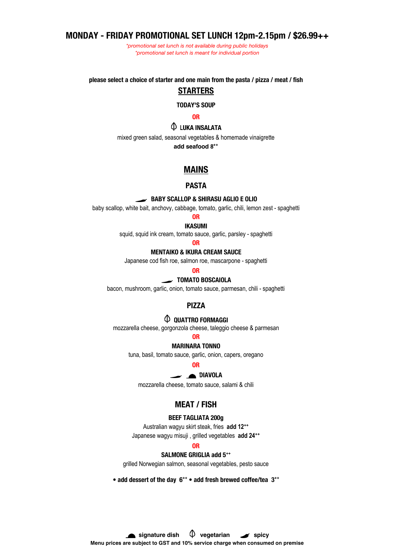# **MONDAY - FRIDAY PROMOTIONAL SET LUNCH 12pm-2.15pm / \$26.99++**

*\*promotional set lunch is not available during public holidays \*promotional set lunch is meant for individual portion*

**please select a choice of starter and one main from the pasta / pizza / meat / fish**

# **STARTERS**

**TODAY'S SOUP**

**OR**

## **LUKA INSALATA**

mixed green salad, seasonal vegetables & homemade vinaigrette

**add seafood 8++**

## **MAINS**

## **PASTA**

### **BABY SCALLOP & SHIRASU AGLIO E OLIO**

baby scallop, white bait, anchovy, cabbage, tomato, garlic, chili, lemon zest - spaghetti

## **OR**

**IKASUMI**

squid, squid ink cream, tomato sauce, garlic, parsley - spaghetti

### **OR**

## **MENTAIKO & IKURA CREAM SAUCE**

Japanese cod fish roe, salmon roe, mascarpone - spaghetti

## **OR**

#### **TOMATO BOSCAIOLA**

bacon, mushroom, garlic, onion, tomato sauce, parmesan, chili - spaghetti

#### **PIZZA**

## **QUATTRO FORMAGGI**

mozzarella cheese, gorgonzola cheese, taleggio cheese & parmesan

## **OR**

### **MARINARA TONNO**

tuna, basil, tomato sauce, garlic, onion, capers, oregano

#### **OR**

#### **DIAVOLA**

mozzarella cheese, tomato sauce, salami & chili

## **MEAT / FISH**

#### **BEEF TAGLIATA 200g**

Australian wagyu skirt steak, fries **add 12++** Japanese wagyu misuji , grilled vegetables **add 24++**

### **OR**

#### **SALMONE GRIGLIA add 5++**

grilled Norwegian salmon, seasonal vegetables, pesto sauce

**• add dessert of the day 6++ • add fresh brewed coffee/tea 3++**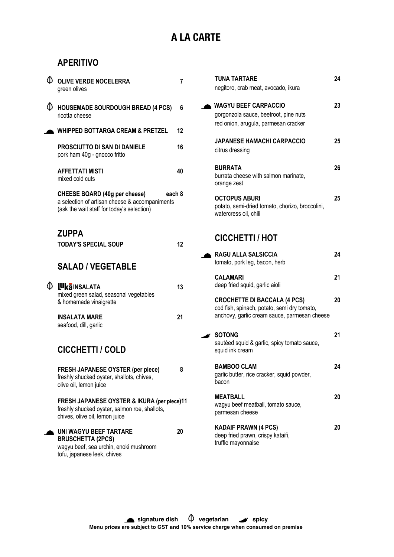# **A LA CARTE**

# **APERITIVO**

| Φ. | <b>OLIVE VERDE NOCELERRA</b><br>green olives                                                                                            | 7  |
|----|-----------------------------------------------------------------------------------------------------------------------------------------|----|
| Ф  | <b>HOUSEMADE SOURDOUGH BREAD (4 PCS)</b><br>ricotta cheese                                                                              | 6  |
|    | <b>WHIPPED BOTTARGA CREAM &amp; PRETZEL</b>                                                                                             | 12 |
|    | <b>PROSCIUTTO DI SAN DI DANIELE</b><br>pork ham 40g - gnocco fritto                                                                     | 16 |
|    | <b>AFFETTATI MISTI</b><br>mixed cold cuts                                                                                               | 40 |
|    | CHEESE BOARD (40g per cheese)<br>each 8<br>a selection of artisan cheese & accompaniments<br>(ask the wait staff for today's selection) |    |
|    | <b>ZUPPA</b>                                                                                                                            |    |
|    | <b>TODAY'S SPECIAL SOUP</b>                                                                                                             | 12 |
|    | <b>SALAD / VEGETABLE</b>                                                                                                                |    |
| Φ. | <b>LUKAINSALATA</b><br>mixed green salad, seasonal vegetables<br>& homemade vinaigrette                                                 | 13 |
|    | <b>INSALATA MARE</b><br>seafood, dill, garlic                                                                                           | 21 |
|    | <b>CICCHETTI / COLD</b>                                                                                                                 |    |
|    | <b>FRESH JAPANESE OYSTER (per piece)</b><br>freshly shucked oyster, shallots, chives,<br>olive oil, lemon juice                         | 8  |
|    | FRESH JAPANESE OYSTER & IKURA (per piece)11<br>freshly shucked oyster, salmon roe, shallots,<br>chives, olive oil, lemon juice          |    |
|    | <b>UNI WAGYU BEEF TARTARE</b><br><b>BRUSCHETTA (2PCS)</b><br>wagyu beef, sea urchin, enoki mushroom<br>tofu, japanese leek, chives      | 20 |

| <b>TUNA TARTARE</b><br>negitoro, crab meat, avocado, ikura                                                                         | 24 |
|------------------------------------------------------------------------------------------------------------------------------------|----|
| <b>WAGYU BEEF CARPACCIO</b><br>gorgonzola sauce, beetroot, pine nuts<br>red onion, arugula, parmesan cracker                       | 23 |
| <b>JAPANESE HAMACHI CARPACCIO</b><br>citrus dressing                                                                               | 25 |
| <b>BURRATA</b><br>burrata cheese with salmon marinate,<br>orange zest                                                              | 26 |
| <b>OCTOPUS ABURI</b><br>potato, semi-dried tomato, chorizo, broccolini,<br>watercress oil, chili                                   | 25 |
| <b>CICCHETTI / HOT</b>                                                                                                             |    |
| <b>RAGU ALLA SALSICCIA</b><br>tomato, pork leg, bacon, herb                                                                        | 24 |
| <b>CALAMARI</b><br>deep fried squid, garlic aioli                                                                                  | 21 |
| <b>CROCHETTE DI BACCALA (4 PCS)</b><br>cod fish, spinach, potato, semi dry tomato,<br>anchovy, garlic cream sauce, parmesan cheese | 20 |
| <b>SOTONG</b><br>sautéed squid & garlic, spicy tomato sauce,<br>squid ink cream                                                    | 21 |
| <b>BAMBOO CLAM</b><br>garlic butter, rice cracker, squid powder,<br>bacon                                                          | 24 |
| <b>MEATBALL</b><br>wagyu beef meatball, tomato sauce,<br>parmesan cheese                                                           | 20 |
| <b>KADAIF PRAWN (4 PCS)</b><br>deep fried prawn, crispy kataifi,<br>truffle mayonnaise                                             | 20 |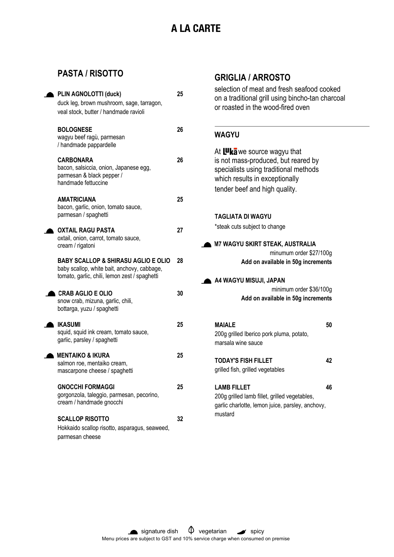# **A LA CARTE**

# **PASTA / RISOTTO**

| PLIN AGNOLOTTI (duck)<br>duck leg, brown mushroom, sage, tarragon,<br>veal stock, butter / handmade ravioli                                    | 25 |
|------------------------------------------------------------------------------------------------------------------------------------------------|----|
| <b>BOLOGNESE</b><br>wagyu beef ragù, parmesan<br>/ handmade pappardelle                                                                        | 26 |
| <b>CARBONARA</b><br>bacon, salsiccia, onion, Japanese egg,<br>parmesan & black pepper /<br>handmade fettuccine                                 | 26 |
| <b>AMATRICIANA</b><br>bacon, garlic, onion, tomato sauce,<br>parmesan / spaghetti                                                              | 25 |
| OXTAIL RAGU PASTA<br>oxtail, onion, carrot, tomato sauce,<br>cream / rigatoni                                                                  | 27 |
| <b>BABY SCALLOP &amp; SHIRASU AGLIO E OLIO</b><br>baby scallop, white bait, anchovy, cabbage,<br>tomato, garlic, chili, lemon zest / spaghetti | 28 |
| <b>CRAB AGLIO E OLIO</b><br>snow crab, mizuna, garlic, chili,<br>bottarga, yuzu / spaghetti                                                    | 30 |
| <b>IKASUMI</b><br>squid, squid ink cream, tomato sauce,<br>garlic, parsley / spaghetti                                                         | 25 |
| <b>MENTAIKO &amp; IKURA</b><br>salmon roe, mentaiko cream,<br>mascarpone cheese / spaghetti                                                    | 25 |
| <b>GNOCCHI FORMAGGI</b><br>gorgonzola, taleggio, parmesan, pecorino,<br>cream / handmade gnocchi                                               | 25 |
| <b>SCALLOP RISOTTO</b><br>Hokkaido scallop risotto, asparagus, seaweed,<br>parmesan cheese                                                     | 32 |

# **GRIGLIA / ARROSTO**

selection of meat and fresh seafood cooked on a traditional grill using bincho-tan charcoal or roasted in the wood-fired oven

## **WAGYU**

| At Luka we source wagyu that<br>is not mass-produced, but reared by<br>specialists using traditional methods<br>which results in exceptionally<br>tender beef and high quality. |
|---------------------------------------------------------------------------------------------------------------------------------------------------------------------------------|
| TAGLIATA DI WAGYU<br>*steak cuts subject to change                                                                                                                              |
| <b>M7 WAGYU SKIRT STEAK, AUSTRALIA</b><br>minumum order \$27/100g<br>Add on available in 50g increments                                                                         |
| A4 WAGYU MISUJI, JAPAN<br>minimum order \$36/100g<br>Add on available in 50g increments                                                                                         |
| 50<br><b>MAIALE</b><br>200g grilled Iberico pork pluma, potato,<br>marsala wine sauce                                                                                           |
| <b>TODAY'S FISH FILLET</b><br>42<br>grilled fish, grilled vegetables                                                                                                            |
| I AMR FII I FT<br>46<br>200g grilled lamb fillet, grilled vegetables,                                                                                                           |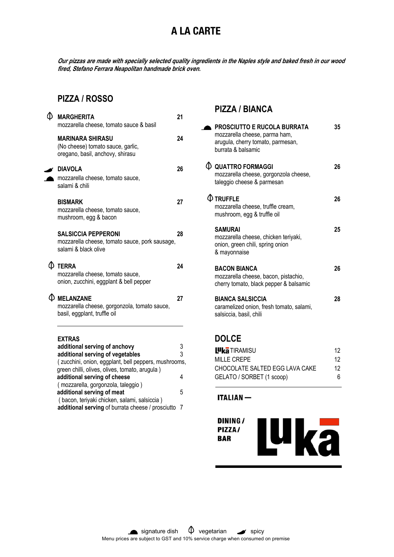# **A LA CARTE**

**Our pizzas are made with specially selected quality ingredients in the Naples style and baked fresh in our wood fired, Stefano Ferrara Neapolitan handmade brick oven.**

# **PIZZA / ROSSO**

| <b>MARGHERITA</b><br>mozzarella cheese, tomato sauce & basil                                                                                                                                 | 21     |
|----------------------------------------------------------------------------------------------------------------------------------------------------------------------------------------------|--------|
| <b>MARINARA SHIRASU</b><br>(No cheese) tomato sauce, garlic,<br>oregano, basil, anchovy, shirasu                                                                                             | 24     |
| <b>DIAVOLA</b><br>mozzarella cheese, tomato sauce,<br>salami & chili                                                                                                                         | 26     |
| <b>BISMARK</b><br>mozzarella cheese, tomato sauce,<br>mushroom, egg & bacon                                                                                                                  | 27     |
| <b>SALSICCIA PEPPERONI</b><br>mozzarella cheese, tomato sauce, pork sausage,<br>salami & black olive                                                                                         | 28     |
| $\Phi$ terra<br>mozzarella cheese, tomato sauce,<br>onion, zucchini, eggplant & bell pepper                                                                                                  | 24     |
| <b>WELANZANE</b><br>mozzarella cheese, gorgonzola, tomato sauce,<br>basil, eggplant, truffle oil                                                                                             | 27     |
| <b>EXTRAS</b><br>additional serving of anchovy<br>additional serving of vegetables<br>(zucchini, onion, eggplant, bell peppers, mushrooms,<br>green chilli, olives, olives, tomato, arugula) | 3<br>3 |
| additional serving of cheese<br>(mozzarella, gorgonzola, taleggio)                                                                                                                           | 4      |
| additional serving of meat<br>(bacon, teriyaki chicken, salami, salsiccia)                                                                                                                   | 5      |

**additional serving** of burrata cheese / prosciutto 7

# **PIZZA / BIANCA**

| <b>PROSCIUTTO E RUCOLA BURRATA</b><br>mozzarella cheese, parma ham,<br>arugula, cherry tomato, parmesan,<br>burrata & balsamic | 35 |
|--------------------------------------------------------------------------------------------------------------------------------|----|
| $\mathop{\mathbb{Q}}$ quattro formaggi<br>mozzarella cheese, gorgonzola cheese,<br>taleggio cheese & parmesan                  | 26 |
| $\Phi$ truffle<br>mozzarella cheese, truffle cream,<br>mushroom, egg & truffle oil                                             | 26 |
| <b>SAMURAI</b><br>mozzarella cheese, chicken teriyaki,<br>onion, green chili, spring onion<br>& mayonnaise                     | 25 |
| <b>BACON BIANCA</b><br>mozzarella cheese, bacon, pistachio,<br>cherry tomato, black pepper & balsamic                          | 26 |
| <b>BIANCA SALSICCIA</b><br>caramelized onion, fresh tomato, salami,<br>salsiccia, basil, chili                                 | 28 |

# **DOLCE**

| <b>L<sup>u</sup>ka</b> TIRAMISU | 12 |
|---------------------------------|----|
| MILLE CREPE                     | 12 |
| CHOCOLATE SALTED EGG LAVA CAKE  | 12 |
| GELATO / SORBET (1 scoop)       | 6  |

**ITALIAN-**